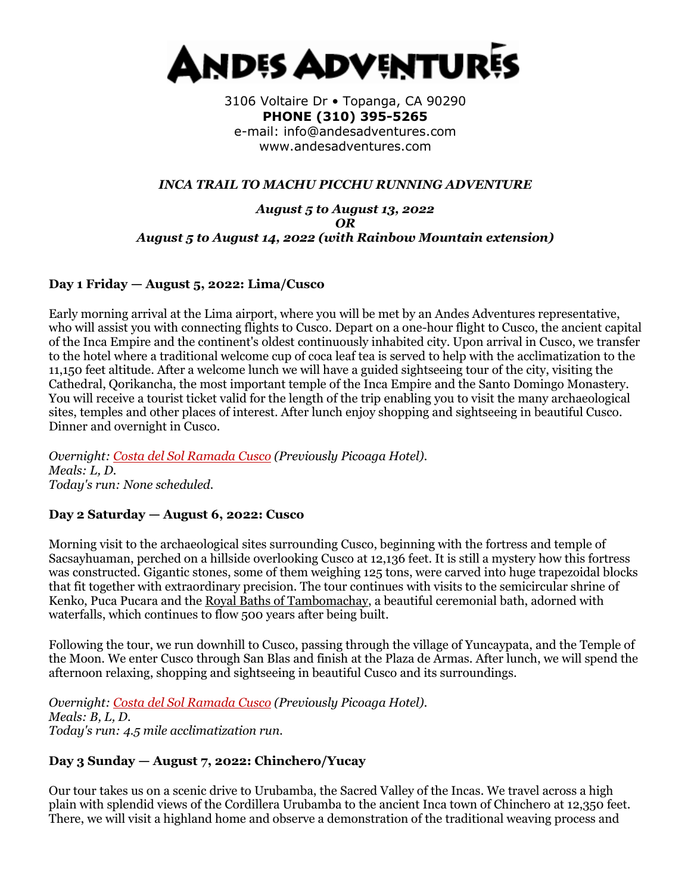

3106 Voltaire Dr • Topanga, CA 90290 **PHONE (310) 395-5265**  e-mail: info@andesadventures.com www.andesadventures.com

### *INCA TRAIL TO MACHU PICCHU RUNNING ADVENTURE*

#### *August 5 to August 13, 2022 OR August 5 to August 14, 2022 (with Rainbow Mountain extension)*

### **Day 1 Friday — August 5, 2022: Lima/Cusco**

Early morning arrival at the Lima airport, where you will be met by an Andes Adventures representative, who will assist you with connecting flights to Cusco. Depart on a one-hour flight to Cusco, the ancient capital of the Inca Empire and the continent's oldest continuously inhabited city. Upon arrival in Cusco, we transfer to the hotel where a traditional welcome cup of coca leaf tea is served to help with the acclimatization to the 11,150 feet altitude. After a welcome lunch we will have a guided sightseeing tour of the city, visiting the Cathedral, Qorikancha, the most important temple of the Inca Empire and the Santo Domingo Monastery. You will receive a tourist ticket valid for the length of the trip enabling you to visit the many archaeological sites, temples and other places of interest. After lunch enjoy shopping and sightseeing in beautiful Cusco. Dinner and overnight in Cusco.

*Overnight: [Costa del Sol Ramada Cusco](http://www.costadelsolperu.com/peru/hotels/cusco/) (Previously Picoaga Hotel). Meals: L, D. Today's run: None scheduled.*

## **Day 2 Saturday — August 6, 2022: Cusco**

Morning visit to the archaeological sites surrounding Cusco, beginning with the fortress and temple of Sacsayhuaman, perched on a hillside overlooking Cusco at 12,136 feet. It is still a mystery how this fortress was constructed. Gigantic stones, some of them weighing 125 tons, were carved into huge trapezoidal blocks that fit together with extraordinary precision. The tour continues with visits to the semicircular shrine of Kenko, Puca Pucara and the [Royal Baths of Tambomachay,](https://www.andesadventures.com/images/Tambomachayb.jpg) a beautiful ceremonial bath, adorned with waterfalls, which continues to flow 500 years after being built.

Following the tour, we run downhill to Cusco, passing through the village of Yuncaypata, and the Temple of the Moon. We enter Cusco through San Blas and finish at the Plaza de Armas. After lunch, we will spend the afternoon relaxing, shopping and sightseeing in beautiful Cusco and its surroundings.

*Overnight: [Costa del Sol Ramada Cusco](http://www.costadelsolperu.com/peru/hotels/cusco/) (Previously Picoaga Hotel). Meals: B, L, D. Today's run: 4.5 mile acclimatization run.*

#### **Day 3 Sunday — August 7, 2022: Chinchero/Yucay**

Our tour takes us on a scenic drive to Urubamba, the Sacred Valley of the Incas. We travel across a high plain with splendid views of the Cordillera Urubamba to the ancient Inca town of Chinchero at 12,350 feet. There, we will visit a highland home and observe a demonstration of the traditional weaving process and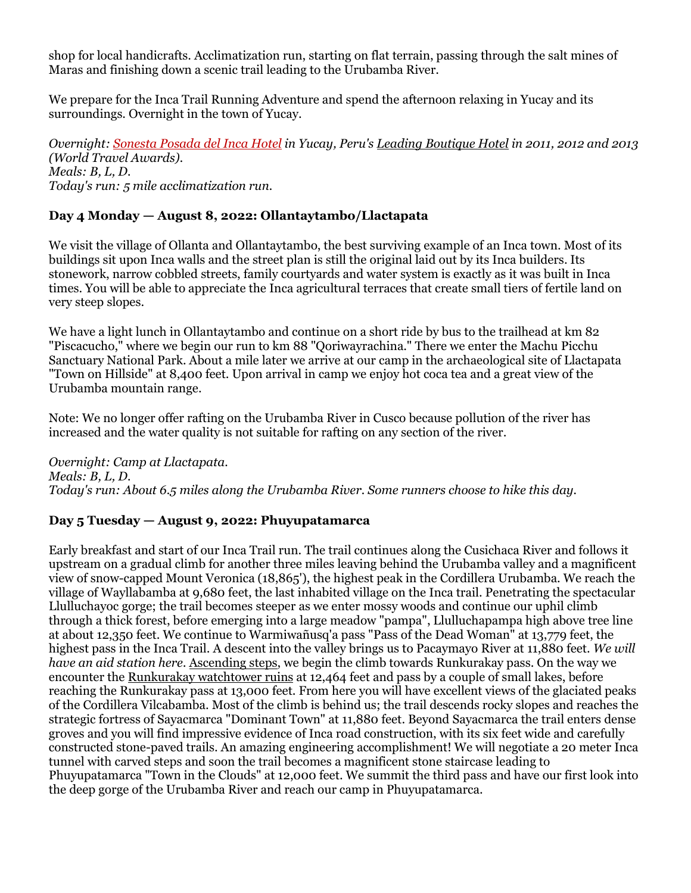shop for local handicrafts. Acclimatization run, starting on flat terrain, passing through the salt mines of Maras and finishing down a scenic trail leading to the Urubamba River.

We prepare for the Inca Trail Running Adventure and spend the afternoon relaxing in Yucay and its surroundings. Overnight in the town of Yucay.

*Overnight: [Sonesta Posada del Inca Hotel](http://www.sonesta.com/SacredValley/) in Yucay, Peru's [Leading Boutique Hotel](http://www.worldtravelawards.com/profile-5312-sonesta-posadas-del-inca-sacred-valley) in 2011, 2012 and 2013 (World Travel Awards). Meals: B, L, D. Today's run: 5 mile acclimatization run.*

## **Day 4 Monday — August 8, 2022: Ollantaytambo/Llactapata**

We visit the village of Ollanta and Ollantaytambo, the best surviving example of an Inca town. Most of its buildings sit upon Inca walls and the street plan is still the original laid out by its Inca builders. Its stonework, narrow cobbled streets, family courtyards and water system is exactly as it was built in Inca times. You will be able to appreciate the Inca agricultural terraces that create small tiers of fertile land on very steep slopes.

We have a light lunch in Ollantaytambo and continue on a short ride by bus to the trailhead at km 82 "Piscacucho," where we begin our run to km 88 "Qoriwayrachina." There we enter the Machu Picchu Sanctuary National Park. About a mile later we arrive at our camp in the archaeological site of Llactapata "Town on Hillside" at 8,400 feet. Upon arrival in camp we enjoy hot coca tea and a great view of the Urubamba mountain range.

Note: We no longer offer rafting on the Urubamba River in Cusco because pollution of the river has increased and the water quality is not suitable for rafting on any section of the river.

*Overnight: Camp at Llactapata. Meals: B, L, D. Today's run: About 6.5 miles along the Urubamba River. Some runners choose to hike this day.*

#### **Day 5 Tuesday — August 9, 2022: Phuyupatamarca**

Early breakfast and start of our Inca Trail run. The trail continues along the Cusichaca River and follows it upstream on a gradual climb for another three miles leaving behind the Urubamba valley and a magnificent view of snow-capped Mount Veronica (18,865'), the highest peak in the Cordillera Urubamba. We reach the village of Wayllabamba at 9,680 feet, the last inhabited village on the Inca trail. Penetrating the spectacular Llulluchayoc gorge; the trail becomes steeper as we enter mossy woods and continue our uphil climb through a thick forest, before emerging into a large meadow "pampa", Llulluchapampa high above tree line at about 12,350 feet. We continue to Warmiwañusq'a pass "Pass of the Dead Woman" at 13,779 feet, the highest pass in the Inca Trail. A descent into the valley brings us to Pacaymayo River at 11,880 feet. *We will have an aid station here.* [Ascending steps,](https://www.andesadventures.com/images/IncaTrailStepsb.jpg) we begin the climb towards Runkurakay pass. On the way we encounter the [Runkurakay watchtower ruins](https://www.andesadventures.com/images/RunkurakayTowerb.jpg) at 12,464 feet and pass by a couple of small lakes, before reaching the Runkurakay pass at 13,000 feet. From here you will have excellent views of the glaciated peaks of the Cordillera Vilcabamba. Most of the climb is behind us; the trail descends rocky slopes and reaches the strategic fortress of Sayacmarca "Dominant Town" at 11,880 feet. Beyond Sayacmarca the trail enters dense groves and you will find impressive evidence of Inca road construction, with its six feet wide and carefully constructed stone-paved trails. An amazing engineering accomplishment! We will negotiate a 20 meter Inca tunnel with carved steps and soon the trail becomes a magnificent stone staircase leading to Phuyupatamarca "Town in the Clouds" at 12,000 feet. We summit the third pass and have our first look into the deep gorge of the Urubamba River and reach our camp in Phuyupatamarca.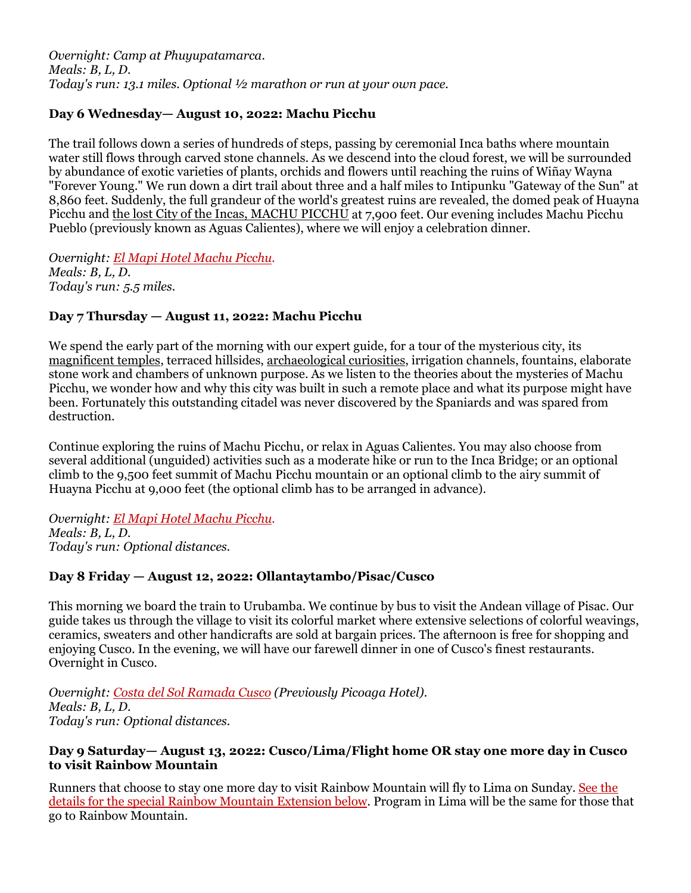*Overnight: Camp at Phuyupatamarca. Meals: B, L, D. Today's run: 13.1 miles. Optional ½ marathon or run at your own pace.*

## **Day 6 Wednesday— August 10, 2022: Machu Picchu**

The trail follows down a series of hundreds of steps, passing by ceremonial Inca baths where mountain water still flows through carved stone channels. As we descend into the cloud forest, we will be surrounded by abundance of exotic varieties of plants, orchids and flowers until reaching the ruins of Wiñay Wayna "Forever Young." We run down a dirt trail about three and a half miles to Intipunku "Gateway of the Sun" at 8,860 feet. Suddenly, the full grandeur of the world's greatest ruins are revealed, the domed peak of Huayna Picchu and [the lost City of the Incas, MACHU PICCHU](https://www.andesadventures.com/images/machupicchutrek02b.jpg) at 7,900 feet. Our evening includes Machu Picchu Pueblo (previously known as Aguas Calientes), where we will enjoy a celebration dinner.

*Overnight: [El Mapi Hotel Machu Picchu.](http://www.elmapihotel.com/) Meals: B, L, D. Today's run: 5.5 miles.*

## **Day 7 Thursday — August 11, 2022: Machu Picchu**

We spend the early part of the morning with our expert guide, for a tour of the mysterious city, its [magnificent temples,](https://www.andesadventures.com/images/TempleSunb.jpg) terraced hillsides, [archaeological curiosities,](https://www.andesadventures.com/images/ga_Intihuatanab.jpg) irrigation channels, fountains, elaborate stone work and chambers of unknown purpose. As we listen to the theories about the mysteries of Machu Picchu, we wonder how and why this city was built in such a remote place and what its purpose might have been. Fortunately this outstanding citadel was never discovered by the Spaniards and was spared from destruction.

Continue exploring the ruins of Machu Picchu, or relax in Aguas Calientes. You may also choose from several additional (unguided) activities such as a moderate hike or run to the Inca Bridge; or an optional climb to the 9,500 feet summit of Machu Picchu mountain or an optional climb to the airy summit of Huayna Picchu at 9,000 feet (the optional climb has to be arranged in advance).

*Overnight: [El Mapi Hotel Machu Picchu.](http://www.elmapihotel.com/) Meals: B, L, D. Today's run: Optional distances.*

## **Day 8 Friday — August 12, 2022: Ollantaytambo/Pisac/Cusco**

This morning we board the train to Urubamba. We continue by bus to visit the Andean village of Pisac. Our guide takes us through the village to visit its colorful market where extensive selections of colorful weavings, ceramics, sweaters and other handicrafts are sold at bargain prices. The afternoon is free for shopping and enjoying Cusco. In the evening, we will have our farewell dinner in one of Cusco's finest restaurants. Overnight in Cusco.

*Overnight: [Costa del Sol Ramada Cusco](http://www.costadelsolperu.com/peru/hotels/cusco/) (Previously Picoaga Hotel). Meals: B, L, D. Today's run: Optional distances.*

#### **Day 9 Saturday— August 13, 2022: Cusco/Lima/Flight home OR stay one more day in Cusco to visit Rainbow Mountain**

Runners that choose to stay one more day to visit Rainbow Mountain will fly to Lima on Sunday. See the details for the special Rainbow Mountain Extension below. Program in Lima will be the same for those that go to Rainbow Mountain.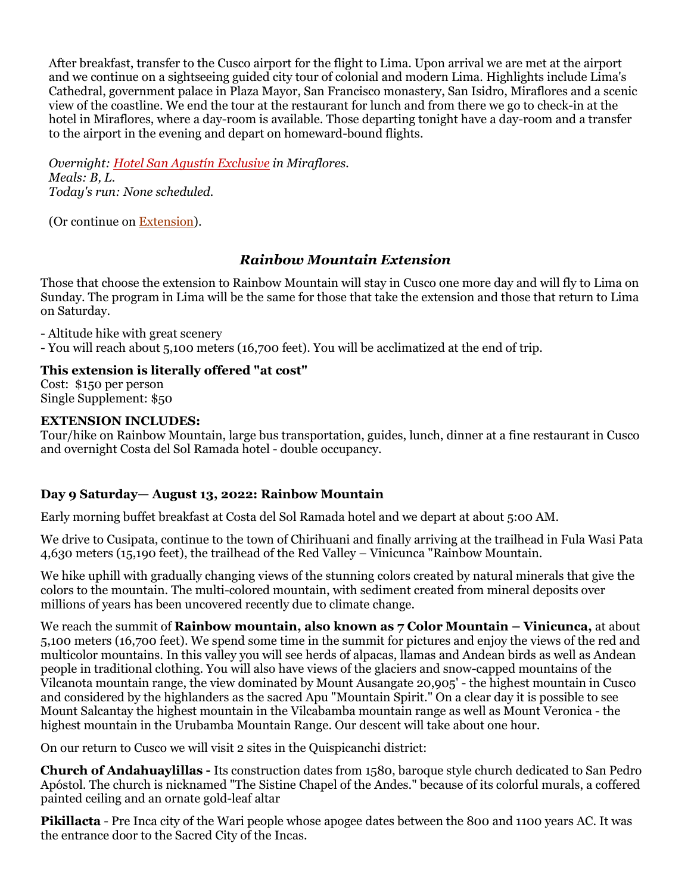After breakfast, transfer to the Cusco airport for the flight to Lima. Upon arrival we are met at the airport and we continue on a sightseeing guided city tour of colonial and modern Lima. Highlights include Lima's Cathedral, government palace in Plaza Mayor, San Francisco monastery, San Isidro, Miraflores and a scenic view of the coastline. We end the tour at the restaurant for lunch and from there we go to check-in at the hotel in Miraflores, where a day-room is available. Those departing tonight have a day-room and a transfer to the airport in the evening and depart on homeward-bound flights.

*Overnight: [Hotel San Agustín Exclusive](http://www.hotelessanagustin.com.pe/hotel_exclusive_miraflores.htm) in Miraflores. Meals: B, L. Today's run: None scheduled.*

(Or continue on [Extension\)](https://www.andesadventures.com/extensions.htm).

# *Rainbow Mountain Extension*

Those that choose the extension to Rainbow Mountain will stay in Cusco one more day and will fly to Lima on Sunday. The program in Lima will be the same for those that take the extension and those that return to Lima on Saturday.

- Altitude hike with great scenery

- You will reach about 5,100 meters (16,700 feet). You will be acclimatized at the end of trip.

### **This extension is literally offered "at cost"**

Cost: \$150 per person Single Supplement: \$50

#### **EXTENSION INCLUDES:**

Tour/hike on Rainbow Mountain, large bus transportation, guides, lunch, dinner at a fine restaurant in Cusco and overnight Costa del Sol Ramada hotel - double occupancy.

## **Day 9 Saturday— August 13, 2022: Rainbow Mountain**

Early morning buffet breakfast at Costa del Sol Ramada hotel and we depart at about 5:00 AM.

We drive to Cusipata, continue to the town of Chirihuani and finally arriving at the trailhead in Fula Wasi Pata 4,630 meters (15,190 feet), the trailhead of the Red Valley – Vinicunca "Rainbow Mountain.

We hike uphill with gradually changing views of the stunning colors created by natural minerals that give the colors to the mountain. The multi-colored mountain, with sediment created from mineral deposits over millions of years has been uncovered recently due to climate change.

We reach the summit of **Rainbow mountain, also known as 7 Color Mountain – Vinicunca,** at about 5,100 meters (16,700 feet). We spend some time in the summit for pictures and enjoy the views of the red and multicolor mountains. In this valley you will see herds of alpacas, llamas and Andean birds as well as Andean people in traditional clothing. You will also have views of the glaciers and snow-capped mountains of the Vilcanota mountain range, the view dominated by Mount Ausangate 20,905' - the highest mountain in Cusco and considered by the highlanders as the sacred Apu "Mountain Spirit." On a clear day it is possible to see Mount Salcantay the highest mountain in the Vilcabamba mountain range as well as Mount Veronica - the highest mountain in the Urubamba Mountain Range. Our descent will take about one hour.

On our return to Cusco we will visit 2 sites in the Quispicanchi district:

**Church of Andahuaylillas -** Its construction dates from 1580, baroque style church dedicated to San Pedro Apóstol. The church is nicknamed "The Sistine Chapel of the Andes." because of its colorful murals, a coffered painted ceiling and an ornate gold-leaf altar

**Pikillacta** - Pre Inca city of the Wari people whose apogee dates between the 800 and 1100 years AC. It was the entrance door to the Sacred City of the Incas.